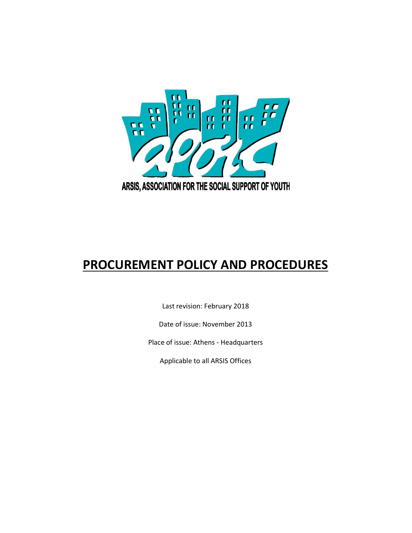

# PROCUREMENT POLICY AND PROCEDURES

Last revision: February 2018

Date of issue: November 2013

Place of issue: Athens - Headquarters

Applicable to all ARSIS Offices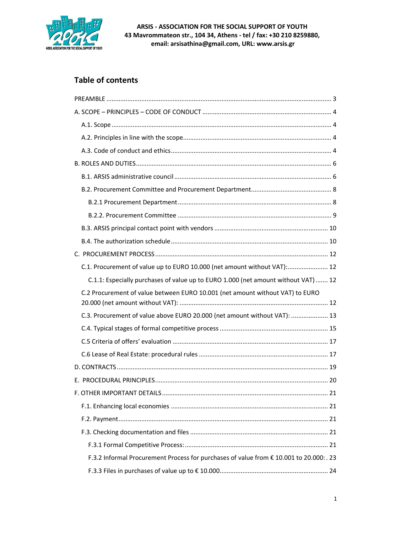

# Table of contents

| C.1. Procurement of value up to EURO 10.000 (net amount without VAT): 12                |  |
|-----------------------------------------------------------------------------------------|--|
| C.1.1: Especially purchases of value up to EURO 1.000 (net amount without VAT) 12       |  |
|                                                                                         |  |
| C.2 Procurement of value between EURO 10.001 (net amount without VAT) to EURO           |  |
|                                                                                         |  |
| C.3. Procurement of value above EURO 20.000 (net amount without VAT):  13               |  |
|                                                                                         |  |
|                                                                                         |  |
|                                                                                         |  |
|                                                                                         |  |
|                                                                                         |  |
|                                                                                         |  |
|                                                                                         |  |
|                                                                                         |  |
|                                                                                         |  |
|                                                                                         |  |
| F.3.2 Informal Procurement Process for purchases of value from € 10.001 to 20.000: . 23 |  |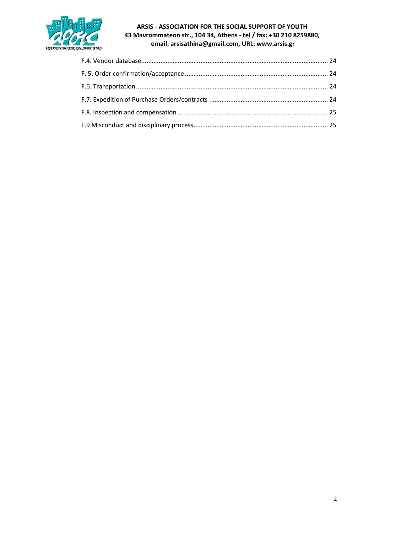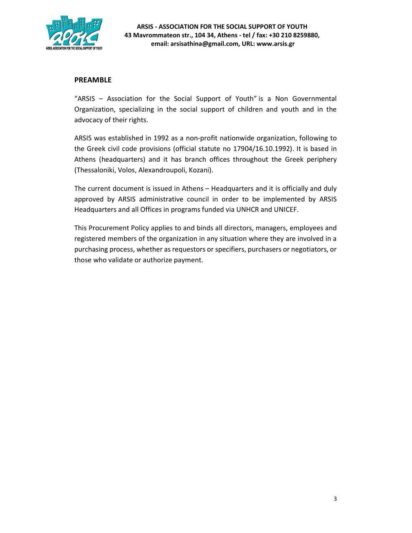

## PREAMBLE

"ARSIS – Association for the Social Support of Youth" is a Non Governmental Organization, specializing in the social support of children and youth and in the advocacy of their rights.

ARSIS was established in 1992 as a non-profit nationwide organization, following to the Greek civil code provisions (official statute no 17904/16.10.1992). Ιt is based in Athens (headquarters) and it has branch offices throughout the Greek periphery (Thessaloniki, Volos, Alexandroupoli, Kozani).

Τhe current document is issued in Athens – Headquarters and it is officially and duly approved by ARSIS administrative council in order to be implemented by ARSIS Headquarters and all Offices in programs funded via UNHCR and UNICEF.

This Procurement Policy applies to and binds all directors, managers, employees and registered members of the organization in any situation where they are involved in a purchasing process, whether as requestors or specifiers, purchasers or negotiators, or those who validate or authorize payment.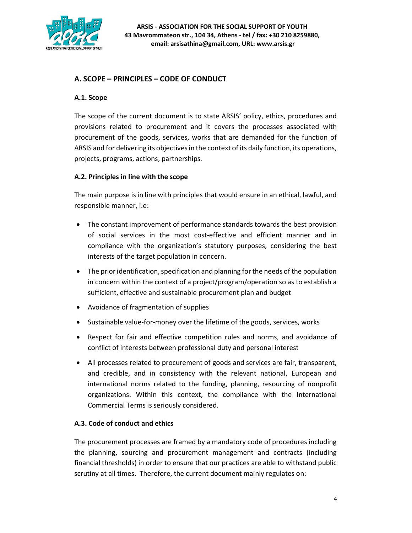

# A. SCOPE – PRINCIPLES – CODE OF CONDUCT

## A.1. Scope

The scope of the current document is to state ARSIS' policy, ethics, procedures and provisions related to procurement and it covers the processes associated with procurement of the goods, services, works that are demanded for the function of ARSIS and for delivering its objectives in the context of its daily function, its operations, projects, programs, actions, partnerships.

## A.2. Principles in line with the scope

The main purpose is in line with principles that would ensure in an ethical, lawful, and responsible manner, i.e:

- The constant improvement of performance standards towards the best provision of social services in the most cost-effective and efficient manner and in compliance with the organization's statutory purposes, considering the best interests of the target population in concern.
- The prior identification, specification and planning for the needs of the population in concern within the context of a project/program/operation so as to establish a sufficient, effective and sustainable procurement plan and budget
- Avoidance of fragmentation of supplies
- Sustainable value-for-money over the lifetime of the goods, services, works
- Respect for fair and effective competition rules and norms, and avoidance of conflict of interests between professional duty and personal interest
- All processes related to procurement of goods and services are fair, transparent, and credible, and in consistency with the relevant national, European and international norms related to the funding, planning, resourcing of nonprofit organizations. Within this context, the compliance with the International Commercial Terms is seriously considered.

# A.3. Code of conduct and ethics

The procurement processes are framed by a mandatory code of procedures including the planning, sourcing and procurement management and contracts (including financial thresholds) in order to ensure that our practices are able to withstand public scrutiny at all times. Therefore, the current document mainly regulates on: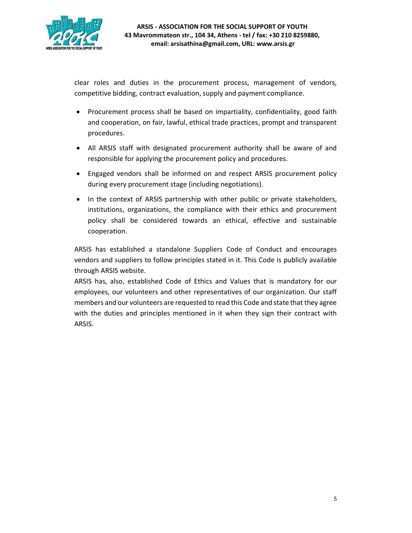

clear roles and duties in the procurement process, management of vendors, competitive bidding, contract evaluation, supply and payment compliance.

- Procurement process shall be based on impartiality, confidentiality, good faith and cooperation, on fair, lawful, ethical trade practices, prompt and transparent procedures.
- All ARSIS staff with designated procurement authority shall be aware of and responsible for applying the procurement policy and procedures.
- Engaged vendors shall be informed on and respect ARSIS procurement policy during every procurement stage (including negotiations).
- In the context of ARSIS partnership with other public or private stakeholders, institutions, organizations, the compliance with their ethics and procurement policy shall be considered towards an ethical, effective and sustainable cooperation.

ARSIS has established a standalone Suppliers Code of Conduct and encourages vendors and suppliers to follow principles stated in it. This Code is publicly available through ARSIS website.

ARSIS has, also, established Code of Ethics and Values that is mandatory for our employees, our volunteers and other representatives of our organization. Our staff members and our volunteers are requested to read this Code and state that they agree with the duties and principles mentioned in it when they sign their contract with ARSIS.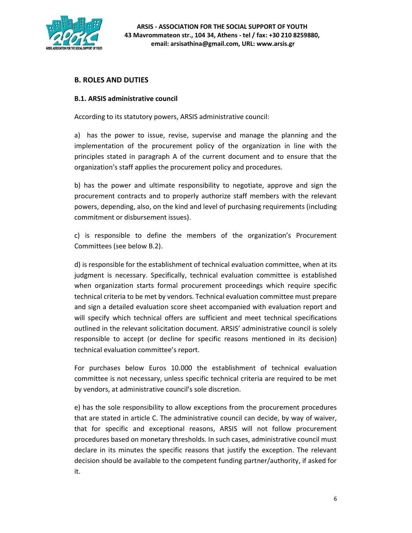

# B. ROLES AND DUTIES

## B.1. ARSIS administrative council

According to its statutory powers, ARSIS administrative council:

a) has the power to issue, revise, supervise and manage the planning and the implementation of the procurement policy of the organization in line with the principles stated in paragraph A of the current document and to ensure that the organization's staff applies the procurement policy and procedures.

b) has the power and ultimate responsibility to negotiate, approve and sign the procurement contracts and to properly authorize staff members with the relevant powers, depending, also, on the kind and level of purchasing requirements (including commitment or disbursement issues).

c) is responsible to define the members of the organization's Procurement Committees (see below B.2).

d) is responsible for the establishment of technical evaluation committee, when at its judgment is necessary. Specifically, technical evaluation committee is established when organization starts formal procurement proceedings which require specific technical criteria to be met by vendors. Technical evaluation committee must prepare and sign a detailed evaluation score sheet accompanied with evaluation report and will specify which technical offers are sufficient and meet technical specifications outlined in the relevant solicitation document. ARSIS' administrative council is solely responsible to accept (or decline for specific reasons mentioned in its decision) technical evaluation committee's report.

For purchases below Euros 10.000 the establishment of technical evaluation committee is not necessary, unless specific technical criteria are required to be met by vendors, at administrative council's sole discretion.

e) has the sole responsibility to allow exceptions from the procurement procedures that are stated in article C. The administrative council can decide, by way of waiver, that for specific and exceptional reasons, ARSIS will not follow procurement procedures based on monetary thresholds. In such cases, administrative council must declare in its minutes the specific reasons that justify the exception. The relevant decision should be available to the competent funding partner/authority, if asked for it.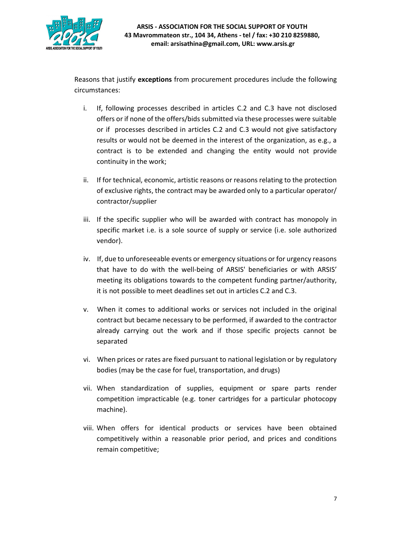

Reasons that justify exceptions from procurement procedures include the following circumstances:

- i. If, following processes described in articles C.2 and C.3 have not disclosed offers or if none of the offers/bids submitted via these processes were suitable or if processes described in articles C.2 and C.3 would not give satisfactory results or would not be deemed in the interest of the organization, as e.g., a contract is to be extended and changing the entity would not provide continuity in the work;
- ii. If for technical, economic, artistic reasons or reasons relating to the protection of exclusive rights, the contract may be awarded only to a particular operator/ contractor/supplier
- iii. If the specific supplier who will be awarded with contract has monopoly in specific market i.e. is a sole source of supply or service (i.e. sole authorized vendor).
- iv. If, due to unforeseeable events or emergency situations or for urgency reasons that have to do with the well-being of ARSIS' beneficiaries or with ARSIS' meeting its obligations towards to the competent funding partner/authority, it is not possible to meet deadlines set out in articles C.2 and C.3.
- v. When it comes to additional works or services not included in the original contract but became necessary to be performed, if awarded to the contractor already carrying out the work and if those specific projects cannot be separated
- vi. When prices or rates are fixed pursuant to national legislation or by regulatory bodies (may be the case for fuel, transportation, and drugs)
- vii. When standardization of supplies, equipment or spare parts render competition impracticable (e.g. toner cartridges for a particular photocopy machine).
- viii. When offers for identical products or services have been obtained competitively within a reasonable prior period, and prices and conditions remain competitive;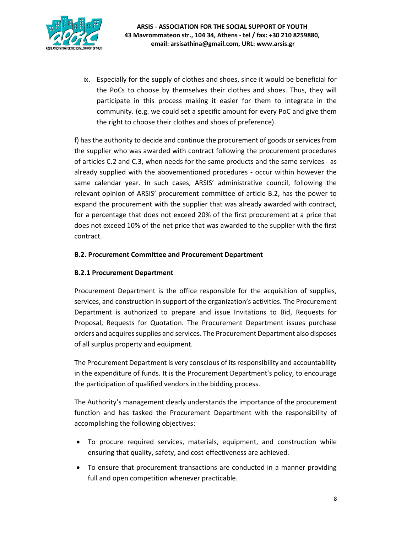

ix. Especially for the supply of clothes and shoes, since it would be beneficial for the PoCs to choose by themselves their clothes and shoes. Thus, they will participate in this process making it easier for them to integrate in the community. (e.g. we could set a specific amount for every PoC and give them the right to choose their clothes and shoes of preference).

f) has the authority to decide and continue the procurement of goods or services from the supplier who was awarded with contract following the procurement procedures of articles C.2 and C.3, when needs for the same products and the same services - as already supplied with the abovementioned procedures - occur within however the same calendar year. In such cases, ARSIS' administrative council, following the relevant opinion of ARSIS' procurement committee of article B.2, has the power to expand the procurement with the supplier that was already awarded with contract, for a percentage that does not exceed 20% of the first procurement at a price that does not exceed 10% of the net price that was awarded to the supplier with the first contract.

## B.2. Procurement Committee and Procurement Department

## Β.2.1 Procurement Department

Procurement Department is the office responsible for the acquisition of supplies, services, and construction in support of the organization's activities. The Procurement Department is authorized to prepare and issue Invitations to Bid, Requests for Proposal, Requests for Quotation. The Procurement Department issues purchase orders and acquires supplies and services. The Procurement Department also disposes of all surplus property and equipment.

The Procurement Department is very conscious of its responsibility and accountability in the expenditure of funds. It is the Procurement Department's policy, to encourage the participation of qualified vendors in the bidding process.

The Authority's management clearly understands the importance of the procurement function and has tasked the Procurement Department with the responsibility of accomplishing the following objectives:

- To procure required services, materials, equipment, and construction while ensuring that quality, safety, and cost-effectiveness are achieved.
- To ensure that procurement transactions are conducted in a manner providing full and open competition whenever practicable.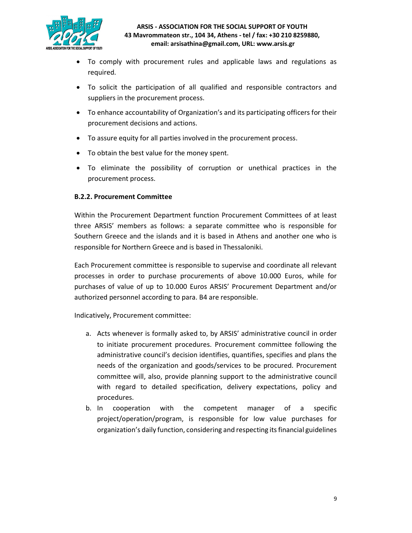

- To comply with procurement rules and applicable laws and regulations as required.
- To solicit the participation of all qualified and responsible contractors and suppliers in the procurement process.
- To enhance accountability of Organization's and its participating officers for their procurement decisions and actions.
- To assure equity for all parties involved in the procurement process.
- To obtain the best value for the money spent.
- To eliminate the possibility of corruption or unethical practices in the procurement process.

# Β.2.2. Procurement Committee

Within the Procurement Department function Procurement Committees of at least three ARSIS' members as follows: a separate committee who is responsible for Southern Greece and the islands and it is based in Athens and another one who is responsible for Northern Greece and is based in Thessaloniki.

Each Procurement committee is responsible to supervise and coordinate all relevant processes in order to purchase procurements of above 10.000 Euros, while for purchases of value of up to 10.000 Euros ARSIS' Procurement Department and/or authorized personnel according to para. B4 are responsible.

Indicatively, Procurement committee:

- a. Acts whenever is formally asked to, by ARSIS' administrative council in order to initiate procurement procedures. Procurement committee following the administrative council's decision identifies, quantifies, specifies and plans the needs of the organization and goods/services to be procured. Procurement committee will, also, provide planning support to the administrative council with regard to detailed specification, delivery expectations, policy and procedures.
- b. In cooperation with the competent manager of a specific project/operation/program, is responsible for low value purchases for organization's daily function, considering and respecting its financial guidelines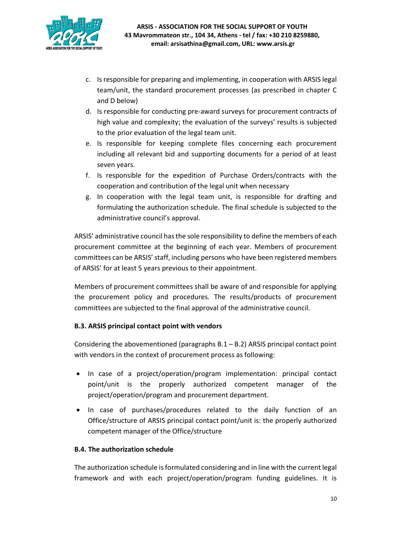

- c. Is responsible for preparing and implementing, in cooperation with ARSIS legal team/unit, the standard procurement processes (as prescribed in chapter C and D below)
- d. Is responsible for conducting pre-award surveys for procurement contracts of high value and complexity; the evaluation of the surveys' results is subjected to the prior evaluation of the legal team unit.
- e. Is responsible for keeping complete files concerning each procurement including all relevant bid and supporting documents for a period of at least seven years.
- f. Is responsible for the expedition of Purchase Orders/contracts with the cooperation and contribution of the legal unit when necessary
- g. In cooperation with the legal team unit, is responsible for drafting and formulating the authorization schedule. The final schedule is subjected to the administrative council's approval.

ARSIS' administrative council has the sole responsibility to define the members of each procurement committee at the beginning of each year. Members of procurement committees can be ARSIS' staff, including persons who have been registered members of ARSIS' for at least 5 years previous to their appointment.

Members of procurement committees shall be aware of and responsible for applying the procurement policy and procedures. The results/products of procurement committees are subjected to the final approval of the administrative council.

# B.3. ARSIS principal contact point with vendors

Considering the abovementioned (paragraphs  $B.1 - B.2$ ) ARSIS principal contact point with vendors in the context of procurement process as following:

- In case of a project/operation/program implementation: principal contact point/unit is the properly authorized competent manager of the project/operation/program and procurement department.
- In case of purchases/procedures related to the daily function of an Office/structure of ARSIS principal contact point/unit is: the properly authorized competent manager of the Office/structure

# B.4. The authorization schedule

The authorization schedule is formulated considering and in line with the current legal framework and with each project/operation/program funding guidelines. It is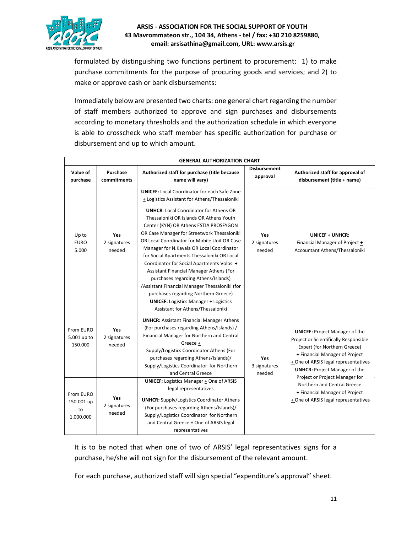

formulated by distinguishing two functions pertinent to procurement: 1) to make purchase commitments for the purpose of procuring goods and services; and 2) to make or approve cash or bank disbursements:

Immediately below are presented two charts: one general chart regarding the number of staff members authorized to approve and sign purchases and disbursements according to monetary thresholds and the authorization schedule in which everyone is able to crosscheck who staff member has specific authorization for purchase or disbursement and up to which amount.

| <b>GENERAL AUTHORIZATION CHART</b>                                                |                                                                |                                                                                                                                                                                                                                                                                                                                                                                                                                                                                                                                                                                                                                                                                               |                                      |                                                                                                                                                                                                                                                                                                                                                                             |  |
|-----------------------------------------------------------------------------------|----------------------------------------------------------------|-----------------------------------------------------------------------------------------------------------------------------------------------------------------------------------------------------------------------------------------------------------------------------------------------------------------------------------------------------------------------------------------------------------------------------------------------------------------------------------------------------------------------------------------------------------------------------------------------------------------------------------------------------------------------------------------------|--------------------------------------|-----------------------------------------------------------------------------------------------------------------------------------------------------------------------------------------------------------------------------------------------------------------------------------------------------------------------------------------------------------------------------|--|
| Value of<br>purchase                                                              | Purchase<br>commitments                                        | Authorized staff for purchase (title because<br>name will vary)                                                                                                                                                                                                                                                                                                                                                                                                                                                                                                                                                                                                                               | <b>Disbursement</b><br>approval      | Authorized staff for approval of<br>disbursement (title + name)                                                                                                                                                                                                                                                                                                             |  |
| Up to<br><b>EURO</b><br>5.000                                                     | Yes<br>2 signatures<br>needed                                  | <b>UNICEF:</b> Local Coordinator for each Safe Zone<br>+ Logistics Assistant for Athens/Thessaloniki<br><b>UNHCR: Local Coordinator for Athens OR</b><br>Thessaloniki OR Islands OR Athens Youth<br>Center (KYN) OR Athens ESTIA PROSFYGON<br>OR Case Manager for Streetwork Thessaloniki<br>OR Local Coordinator for Mobile Unit OR Case<br>Manager for N.Kavala OR Local Coordinator<br>for Social Apartments Thessaloniki OR Local<br>Coordinator for Social Apartments Volos +<br>Assistant Financial Manager Athens (For<br>purchases regarding Athens/Islands)<br>/Assistant Financial Manager Thessaloniki (for<br>purchases regarding Northern Greece)                                | <b>Yes</b><br>2 signatures<br>needed | UNICEF + UNHCR:<br>Financial Manager of Project +<br>Accountant Athens/Thessaloniki                                                                                                                                                                                                                                                                                         |  |
| From EURO<br>5.001 up to<br>150.000<br>From EURO<br>150.001 up<br>to<br>1.000.000 | Yes<br>2 signatures<br>needed<br>Yes<br>2 signatures<br>needed | <b>UNICEF:</b> Logistics Manager + Logistics<br>Assistant for Athens/Thessaloniki<br><b>UNHCR: Assistant Financial Manager Athens</b><br>(For purchases regarding Athens/Islands) /<br>Financial Manager for Northern and Central<br>Greece +<br>Supply/Logistics Coordinator Athens (For<br>purchases regarding Athens/Islands)/<br>Supply/Logistics Coordinator for Northern<br>and Central Greece<br><b>UNICEF:</b> Logistics Manager + One of ARSIS<br>legal representatives<br><b>UNHCR:</b> Supply/Logistics Coordinator Athens<br>(For purchases regarding Athens/Islands)/<br>Supply/Logistics Coordinator for Northern<br>and Central Greece + One of ARSIS legal<br>representatives | <b>Yes</b><br>3 signatures<br>needed | <b>UNICEF: Project Manager of the</b><br>Project or Scientifically Responsible<br>Expert (for Northern Greece)<br>+ Financial Manager of Project<br>+ One of ARSIS legal representatives<br><b>UNHCR: Project Manager of the</b><br>Project or Project Manager for<br>Northern and Central Greece<br>+ Financial Manager of Project<br>+ One of ARSIS legal representatives |  |

It is to be noted that when one of two of ARSIS' legal representatives signs for a purchase, he/she will not sign for the disbursement of the relevant amount.

For each purchase, authorized staff will sign special "expenditure's approval" sheet.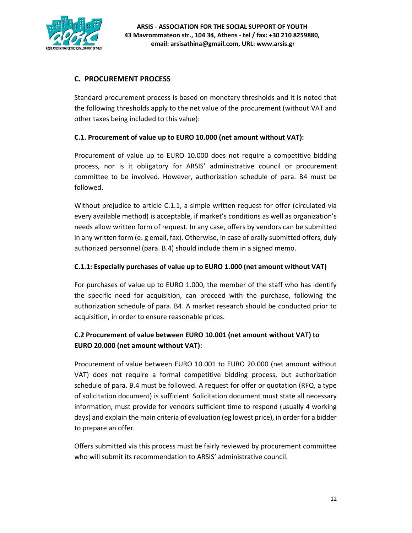

# C. PROCUREMENT PROCESS

Standard procurement process is based on monetary thresholds and it is noted that the following thresholds apply to the net value of the procurement (without VAT and other taxes being included to this value):

# C.1. Procurement of value up to EURO 10.000 (net amount without VAT):

Procurement of value up to EURO 10.000 does not require a competitive bidding process, nor is it obligatory for ARSIS' administrative council or procurement committee to be involved. However, authorization schedule of para. B4 must be followed.

Without prejudice to article C.1.1, a simple written request for offer (circulated via every available method) is acceptable, if market's conditions as well as organization's needs allow written form of request. In any case, offers by vendors can be submitted in any written form (e. g email, fax). Otherwise, in case of orally submitted offers, duly authorized personnel (para. B.4) should include them in a signed memo.

# C.1.1: Especially purchases of value up to EURO 1.000 (net amount without VAT)

For purchases of value up to EURO 1.000, the member of the staff who has identify the specific need for acquisition, can proceed with the purchase, following the authorization schedule of para. B4. A market research should be conducted prior to acquisition, in order to ensure reasonable prices.

# C.2 Procurement of value between EURO 10.001 (net amount without VAT) to EURO 20.000 (net amount without VAT):

Procurement of value between EURO 10.001 to EURO 20.000 (net amount without VAT) does not require a formal competitive bidding process, but authorization schedule of para. B.4 must be followed. A request for offer or quotation (RFQ, a type of solicitation document) is sufficient. Solicitation document must state all necessary information, must provide for vendors sufficient time to respond (usually 4 working days) and explain the main criteria of evaluation (eg lowest price), in order for a bidder to prepare an offer.

Offers submitted via this process must be fairly reviewed by procurement committee who will submit its recommendation to ARSIS' administrative council.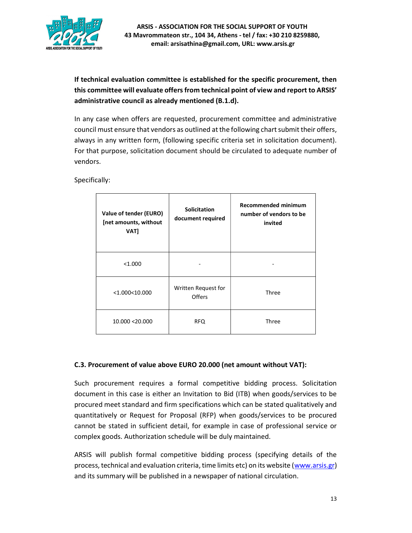

If technical evaluation committee is established for the specific procurement, then this committee will evaluate offers from technical point of view and report to ARSIS' administrative council as already mentioned (B.1.d).

In any case when offers are requested, procurement committee and administrative council must ensure that vendors as outlined at the following chart submit their offers, always in any written form, (following specific criteria set in solicitation document). For that purpose, solicitation document should be circulated to adequate number of vendors.

Specifically:

| Value of tender (EURO)<br>[net amounts, without<br>VAT] | <b>Solicitation</b><br>document required | <b>Recommended minimum</b><br>number of vendors to be<br>invited |
|---------------------------------------------------------|------------------------------------------|------------------------------------------------------------------|
| < 1.000                                                 |                                          |                                                                  |
| $<$ 1.000 $<$ 10.000                                    | Written Request for<br>Offers            | Three                                                            |
| 10.000 < 20.000                                         | <b>RFQ</b>                               | Three                                                            |

# C.3. Procurement of value above EURO 20.000 (net amount without VAT):

Such procurement requires a formal competitive bidding process. Solicitation document in this case is either an Invitation to Bid (ITB) when goods/services to be procured meet standard and firm specifications which can be stated qualitatively and quantitatively or Request for Proposal (RFP) when goods/services to be procured cannot be stated in sufficient detail, for example in case of professional service or complex goods. Authorization schedule will be duly maintained.

ARSIS will publish formal competitive bidding process (specifying details of the process, technical and evaluation criteria, time limits etc) on its website (www.arsis.gr) and its summary will be published in a newspaper of national circulation.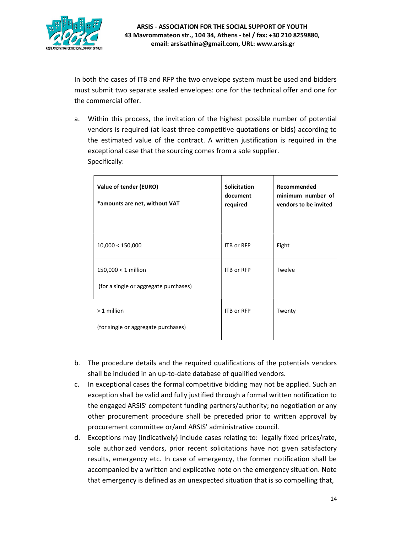

In both the cases of ITB and RFP the two envelope system must be used and bidders must submit two separate sealed envelopes: one for the technical offer and one for the commercial offer.

a. Within this process, the invitation of the highest possible number of potential vendors is required (at least three competitive quotations or bids) according to the estimated value of the contract. A written justification is required in the exceptional case that the sourcing comes from a sole supplier. Specifically:

| Value of tender (EURO)<br>*amounts are net, without VAT      | <b>Solicitation</b><br>document<br>required | Recommended<br>minimum number of<br>vendors to be invited |
|--------------------------------------------------------------|---------------------------------------------|-----------------------------------------------------------|
| 10,000 < 150,000                                             | <b>ITB or RFP</b>                           | Eight                                                     |
| 150,000 < 1 million<br>(for a single or aggregate purchases) | ITB or RFP                                  | Twelve                                                    |
| $>1$ million<br>(for single or aggregate purchases)          | ITB or RFP                                  | Twenty                                                    |

- b. The procedure details and the required qualifications of the potentials vendors shall be included in an up-to-date database of qualified vendors.
- c. In exceptional cases the formal competitive bidding may not be applied. Such an exception shall be valid and fully justified through a formal written notification to the engaged ARSIS' competent funding partners/authority; no negotiation or any other procurement procedure shall be preceded prior to written approval by procurement committee or/and ARSIS' administrative council.
- d. Exceptions may (indicatively) include cases relating to: legally fixed prices/rate, sole authorized vendors, prior recent solicitations have not given satisfactory results, emergency etc. In case of emergency, the former notification shall be accompanied by a written and explicative note on the emergency situation. Note that emergency is defined as an unexpected situation that is so compelling that,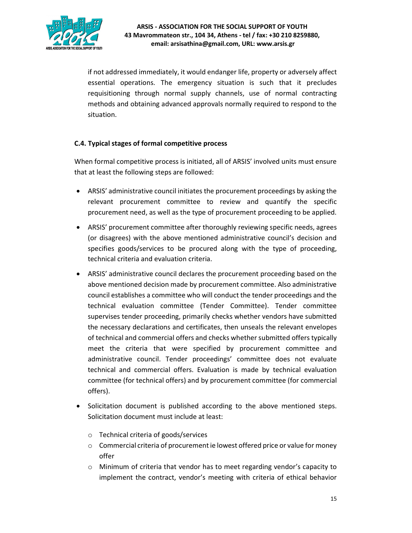

if not addressed immediately, it would endanger life, property or adversely affect essential operations. The emergency situation is such that it precludes requisitioning through normal supply channels, use of normal contracting methods and obtaining advanced approvals normally required to respond to the situation.

# C.4. Typical stages of formal competitive process

When formal competitive process is initiated, all of ARSIS' involved units must ensure that at least the following steps are followed:

- ARSIS' administrative council initiates the procurement proceedings by asking the relevant procurement committee to review and quantify the specific procurement need, as well as the type of procurement proceeding to be applied.
- ARSIS' procurement committee after thoroughly reviewing specific needs, agrees (or disagrees) with the above mentioned administrative council's decision and specifies goods/services to be procured along with the type of proceeding, technical criteria and evaluation criteria.
- ARSIS' administrative council declares the procurement proceeding based on the above mentioned decision made by procurement committee. Also administrative council establishes a committee who will conduct the tender proceedings and the technical evaluation committee (Tender Committee). Tender committee supervises tender proceeding, primarily checks whether vendors have submitted the necessary declarations and certificates, then unseals the relevant envelopes of technical and commercial offers and checks whether submitted offers typically meet the criteria that were specified by procurement committee and administrative council. Tender proceedings' committee does not evaluate technical and commercial offers. Evaluation is made by technical evaluation committee (for technical offers) and by procurement committee (for commercial offers).
- Solicitation document is published according to the above mentioned steps. Solicitation document must include at least:
	- o Technical criteria of goods/services
	- $\circ$  Commercial criteria of procurement ie lowest offered price or value for money offer
	- $\circ$  Minimum of criteria that vendor has to meet regarding vendor's capacity to implement the contract, vendor's meeting with criteria of ethical behavior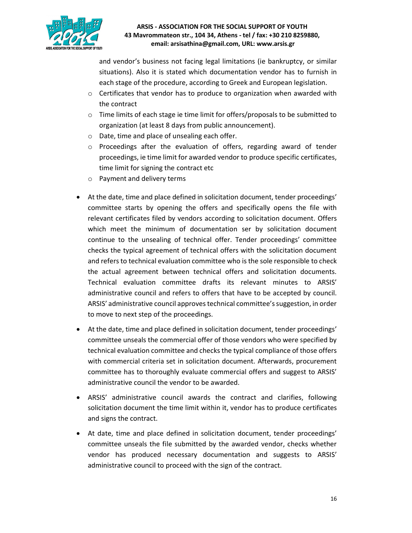

and vendor's business not facing legal limitations (ie bankruptcy, or similar situations). Also it is stated which documentation vendor has to furnish in each stage of the procedure, according to Greek and European legislation.

- $\circ$  Certificates that vendor has to produce to organization when awarded with the contract
- o Time limits of each stage ie time limit for offers/proposals to be submitted to organization (at least 8 days from public announcement).
- o Date, time and place of unsealing each offer.
- o Proceedings after the evaluation of offers, regarding award of tender proceedings, ie time limit for awarded vendor to produce specific certificates, time limit for signing the contract etc
- o Payment and delivery terms
- At the date, time and place defined in solicitation document, tender proceedings' committee starts by opening the offers and specifically opens the file with relevant certificates filed by vendors according to solicitation document. Offers which meet the minimum of documentation ser by solicitation document continue to the unsealing of technical offer. Tender proceedings' committee checks the typical agreement of technical offers with the solicitation document and refers to technical evaluation committee who is the sole responsible to check the actual agreement between technical offers and solicitation documents. Technical evaluation committee drafts its relevant minutes to ARSIS' administrative council and refers to offers that have to be accepted by council. ARSIS' administrative council approves technical committee's suggestion, in order to move to next step of the proceedings.
- At the date, time and place defined in solicitation document, tender proceedings' committee unseals the commercial offer of those vendors who were specified by technical evaluation committee and checks the typical compliance of those offers with commercial criteria set in solicitation document. Afterwards, procurement committee has to thoroughly evaluate commercial offers and suggest to ARSIS' administrative council the vendor to be awarded.
- ARSIS' administrative council awards the contract and clarifies, following solicitation document the time limit within it, vendor has to produce certificates and signs the contract.
- At date, time and place defined in solicitation document, tender proceedings' committee unseals the file submitted by the awarded vendor, checks whether vendor has produced necessary documentation and suggests to ARSIS' administrative council to proceed with the sign of the contract.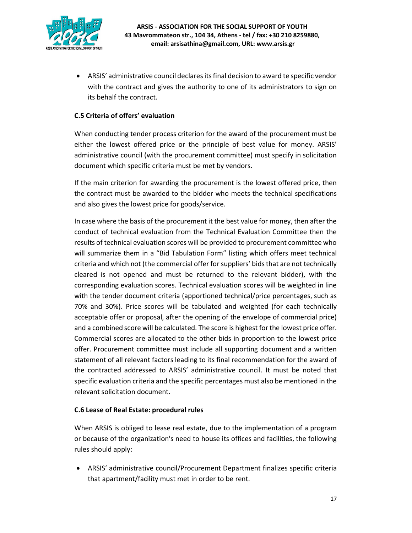

 ARSIS' administrative council declares its final decision to award te specific vendor with the contract and gives the authority to one of its administrators to sign on its behalf the contract.

## C.5 Criteria of offers' evaluation

When conducting tender process criterion for the award of the procurement must be either the lowest offered price or the principle of best value for money. ARSIS' administrative council (with the procurement committee) must specify in solicitation document which specific criteria must be met by vendors.

If the main criterion for awarding the procurement is the lowest offered price, then the contract must be awarded to the bidder who meets the technical specifications and also gives the lowest price for goods/service.

In case where the basis of the procurement it the best value for money, then after the conduct of technical evaluation from the Technical Evaluation Committee then the results of technical evaluation scores will be provided to procurement committee who will summarize them in a "Bid Tabulation Form" listing which offers meet technical criteria and which not (the commercial offer for suppliers' bids that are not technically cleared is not opened and must be returned to the relevant bidder), with the corresponding evaluation scores. Technical evaluation scores will be weighted in line with the tender document criteria (apportioned technical/price percentages, such as 70% and 30%). Price scores will be tabulated and weighted (for each technically acceptable offer or proposal, after the opening of the envelope of commercial price) and a combined score will be calculated. The score is highest for the lowest price offer. Commercial scores are allocated to the other bids in proportion to the lowest price offer. Procurement committee must include all supporting document and a written statement of all relevant factors leading to its final recommendation for the award of the contracted addressed to ARSIS' administrative council. It must be noted that specific evaluation criteria and the specific percentages must also be mentioned in the relevant solicitation document.

## C.6 Lease of Real Estate: procedural rules

When ARSIS is obliged to lease real estate, due to the implementation of a program or because of the organization's need to house its offices and facilities, the following rules should apply:

 ARSIS' administrative council/Procurement Department finalizes specific criteria that apartment/facility must met in order to be rent.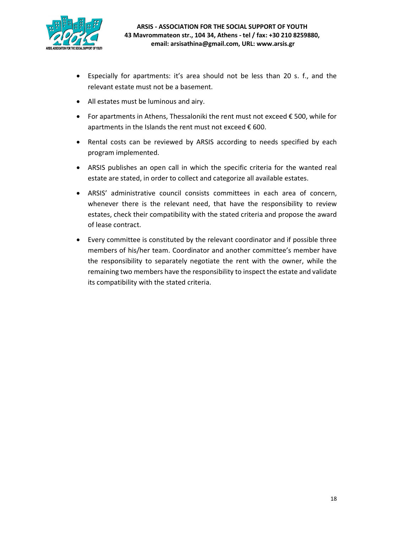

- Especially for apartments: it's area should not be less than 20 s. f., and the relevant estate must not be a basement.
- All estates must be luminous and airy.
- For apartments in Athens, Thessaloniki the rent must not exceed € 500, while for apartments in the Islands the rent must not exceed  $\epsilon$  600.
- Rental costs can be reviewed by ARSIS according to needs specified by each program implemented.
- ARSIS publishes an open call in which the specific criteria for the wanted real estate are stated, in order to collect and categorize all available estates.
- ARSIS' administrative council consists committees in each area of concern, whenever there is the relevant need, that have the responsibility to review estates, check their compatibility with the stated criteria and propose the award of lease contract.
- Every committee is constituted by the relevant coordinator and if possible three members of his/her team. Coordinator and another committee's member have the responsibility to separately negotiate the rent with the owner, while the remaining two members have the responsibility to inspect the estate and validate its compatibility with the stated criteria.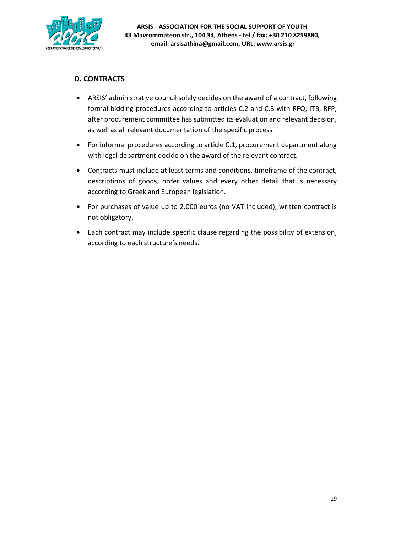

# D. CONTRACTS

- ARSIS' administrative council solely decides on the award of a contract, following formal bidding procedures according to articles C.2 and C.3 with RFQ, ITB, RFP, after procurement committee has submitted its evaluation and relevant decision, as well as all relevant documentation of the specific process.
- For informal procedures according to article C.1, procurement department along with legal department decide on the award of the relevant contract.
- Contracts must include at least terms and conditions, timeframe of the contract, descriptions of goods, order values and every other detail that is necessary according to Greek and European legislation.
- For purchases of value up to 2.000 euros (no VAT included), written contract is not obligatory.
- Each contract may include specific clause regarding the possibility of extension, according to each structure's needs.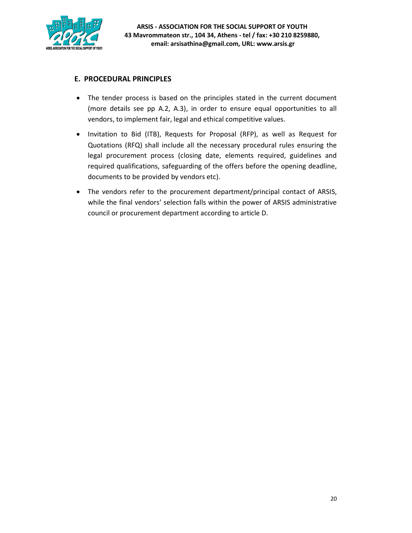

# E. PROCEDURAL PRINCIPLES

- The tender process is based on the principles stated in the current document (more details see pp A.2, A.3), in order to ensure equal opportunities to all vendors, to implement fair, legal and ethical competitive values.
- Invitation to Bid (ITB), Requests for Proposal (RFP), as well as Request for Quotations (RFQ) shall include all the necessary procedural rules ensuring the legal procurement process (closing date, elements required, guidelines and required qualifications, safeguarding of the offers before the opening deadline, documents to be provided by vendors etc).
- The vendors refer to the procurement department/principal contact of ARSIS, while the final vendors' selection falls within the power of ARSIS administrative council or procurement department according to article D.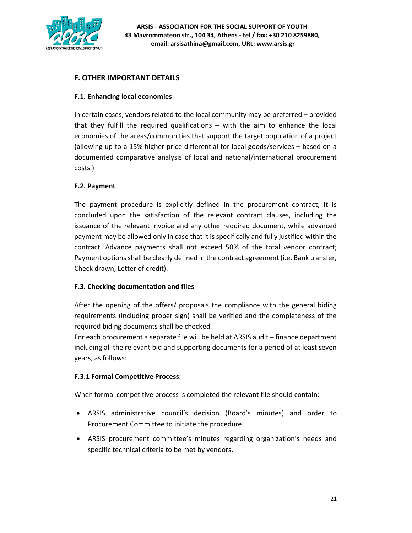

# F. OTHER IMPORTANT DETAILS

# F.1. Enhancing local economies

In certain cases, vendors related to the local community may be preferred – provided that they fulfill the required qualifications – with the aim to enhance the local economies of the areas/communities that support the target population of a project (allowing up to a 15% higher price differential for local goods/services – based on a documented comparative analysis of local and national/international procurement costs.)

# F.2. Payment

The payment procedure is explicitly defined in the procurement contract; It is concluded upon the satisfaction of the relevant contract clauses, including the issuance of the relevant invoice and any other required document, while advanced payment may be allowed only in case that it is specifically and fully justified within the contract. Advance payments shall not exceed 50% of the total vendor contract; Payment options shall be clearly defined in the contract agreement (i.e. Bank transfer, Check drawn, Letter of credit).

# F.3. Checking documentation and files

After the opening of the offers/ proposals the compliance with the general biding requirements (including proper sign) shall be verified and the completeness of the required biding documents shall be checked.

For each procurement a separate file will be held at ARSIS audit – finance department including all the relevant bid and supporting documents for a period of at least seven years, as follows:

# F.3.1 Formal Competitive Process:

When formal competitive process is completed the relevant file should contain:

- ARSIS administrative council's decision (Board's minutes) and order to Procurement Committee to initiate the procedure.
- ARSIS procurement committee's minutes regarding organization's needs and specific technical criteria to be met by vendors.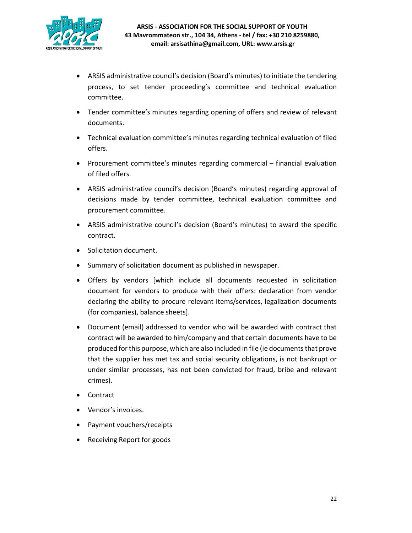

- ARSIS administrative council's decision (Board's minutes) to initiate the tendering process, to set tender proceeding's committee and technical evaluation committee.
- Tender committee's minutes regarding opening of offers and review of relevant documents.
- Technical evaluation committee's minutes regarding technical evaluation of filed offers.
- Procurement committee's minutes regarding commercial financial evaluation of filed offers.
- ARSIS administrative council's decision (Board's minutes) regarding approval of decisions made by tender committee, technical evaluation committee and procurement committee.
- ARSIS administrative council's decision (Board's minutes) to award the specific contract.
- Solicitation document.
- Summary of solicitation document as published in newspaper.
- Offers by vendors [which include all documents requested in solicitation document for vendors to produce with their offers: declaration from vendor declaring the ability to procure relevant items/services, legalization documents (for companies), balance sheets].
- Document (email) addressed to vendor who will be awarded with contract that contract will be awarded to him/company and that certain documents have to be produced for this purpose, which are also included in file (ie documents that prove that the supplier has met tax and social security obligations, is not bankrupt or under similar processes, has not been convicted for fraud, bribe and relevant crimes).
- Contract
- Vendor's invoices.
- Payment vouchers/receipts
- Receiving Report for goods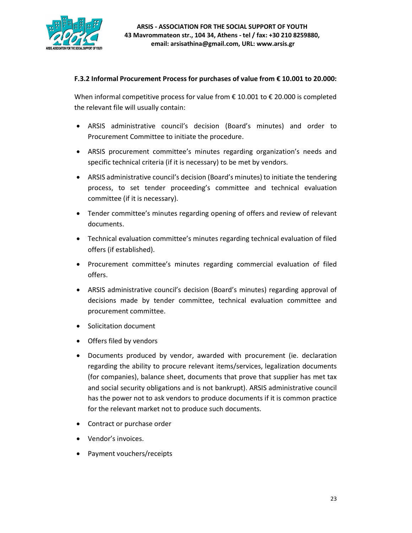

## F.3.2 Informal Procurement Process for purchases of value from € 10.001 to 20.000:

When informal competitive process for value from  $\epsilon$  10.001 to  $\epsilon$  20.000 is completed the relevant file will usually contain:

- ARSIS administrative council's decision (Board's minutes) and order to Procurement Committee to initiate the procedure.
- ARSIS procurement committee's minutes regarding organization's needs and specific technical criteria (if it is necessary) to be met by vendors.
- ARSIS administrative council's decision (Board's minutes) to initiate the tendering process, to set tender proceeding's committee and technical evaluation committee (if it is necessary).
- Tender committee's minutes regarding opening of offers and review of relevant documents.
- Technical evaluation committee's minutes regarding technical evaluation of filed offers (if established).
- Procurement committee's minutes regarding commercial evaluation of filed offers.
- ARSIS administrative council's decision (Board's minutes) regarding approval of decisions made by tender committee, technical evaluation committee and procurement committee.
- Solicitation document
- Offers filed by vendors
- Documents produced by vendor, awarded with procurement (ie. declaration regarding the ability to procure relevant items/services, legalization documents (for companies), balance sheet, documents that prove that supplier has met tax and social security obligations and is not bankrupt). ARSIS administrative council has the power not to ask vendors to produce documents if it is common practice for the relevant market not to produce such documents.
- Contract or purchase order
- Vendor's invoices.
- Payment vouchers/receipts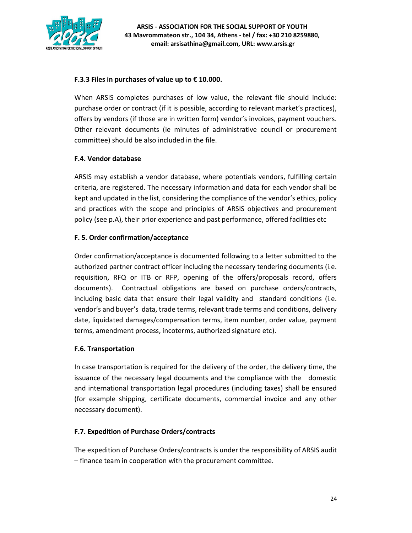

# F.3.3 Files in purchases of value up to  $\epsilon$  10.000.

When ARSIS completes purchases of low value, the relevant file should include: purchase order or contract (if it is possible, according to relevant market's practices), offers by vendors (if those are in written form) vendor's invoices, payment vouchers. Other relevant documents (ie minutes of administrative council or procurement committee) should be also included in the file.

# F.4. Vendor database

ARSIS may establish a vendor database, where potentials vendors, fulfilling certain criteria, are registered. The necessary information and data for each vendor shall be kept and updated in the list, considering the compliance of the vendor's ethics, policy and practices with the scope and principles of ARSIS objectives and procurement policy (see p.A), their prior experience and past performance, offered facilities etc

# F. 5. Order confirmation/acceptance

Order confirmation/acceptance is documented following to a letter submitted to the authorized partner contract officer including the necessary tendering documents (i.e. requisition, RFQ or ITB or RFP, opening of the offers/proposals record, offers documents). Contractual obligations are based on purchase orders/contracts, including basic data that ensure their legal validity and standard conditions (i.e. vendor's and buyer's data, trade terms, relevant trade terms and conditions, delivery date, liquidated damages/compensation terms, item number, order value, payment terms, amendment process, incoterms, authorized signature etc).

## F.6. Transportation

In case transportation is required for the delivery of the order, the delivery time, the issuance of the necessary legal documents and the compliance with the domestic and international transportation legal procedures (including taxes) shall be ensured (for example shipping, certificate documents, commercial invoice and any other necessary document).

# F.7. Expedition of Purchase Orders/contracts

The expedition of Purchase Orders/contracts is under the responsibility of ARSIS audit – finance team in cooperation with the procurement committee.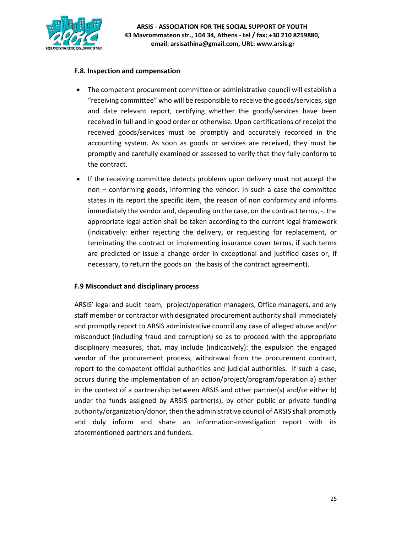

## F.8. Inspection and compensation

- The competent procurement committee or administrative council will establish a "receiving committee" who will be responsible to receive the goods/services, sign and date relevant report, certifying whether the goods/services have been received in full and in good order or otherwise. Upon certifications of receipt the received goods/services must be promptly and accurately recorded in the accounting system. As soon as goods or services are received, they must be promptly and carefully examined or assessed to verify that they fully conform to the contract.
- If the receiving committee detects problems upon delivery must not accept the non – conforming goods, informing the vendor. In such a case the committee states in its report the specific item, the reason of non conformity and informs immediately the vendor and, depending on the case, on the contract terms, -, the appropriate legal action shall be taken according to the current legal framework (indicatively: either rejecting the delivery, or requesting for replacement, or terminating the contract or implementing insurance cover terms, if such terms are predicted or issue a change order in exceptional and justified cases or, if necessary, to return the goods on the basis of the contract agreement).

## F.9 Misconduct and disciplinary process

ARSIS' legal and audit team, project/operation managers, Office managers, and any staff member or contractor with designated procurement authority shall immediately and promptly report to ARSIS administrative council any case of alleged abuse and/or misconduct (including fraud and corruption) so as to proceed with the appropriate disciplinary measures, that, may include (indicatively): the expulsion the engaged vendor of the procurement process, withdrawal from the procurement contract, report to the competent official authorities and judicial authorities. If such a case, occurs during the implementation of an action/project/program/operation a) either in the context of a partnership between ARSIS and other partner(s) and/or either b) under the funds assigned by ARSIS partner(s), by other public or private funding authority/organization/donor, then the administrative council of ARSIS shall promptly and duly inform and share an information-investigation report with its aforementioned partners and funders.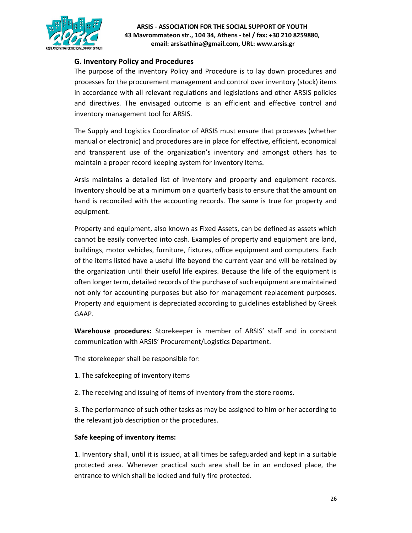

# G. Inventory Policy and Procedures

The purpose of the inventory Policy and Procedure is to lay down procedures and processes for the procurement management and control over inventory (stock) items in accordance with all relevant regulations and legislations and other ARSIS policies and directives. The envisaged outcome is an efficient and effective control and inventory management tool for ARSIS.

The Supply and Logistics Coordinator of ARSIS must ensure that processes (whether manual or electronic) and procedures are in place for effective, efficient, economical and transparent use of the organization's inventory and amongst others has to maintain a proper record keeping system for inventory Items.

Arsis maintains a detailed list of inventory and property and equipment records. Inventory should be at a minimum on a quarterly basis to ensure that the amount on hand is reconciled with the accounting records. The same is true for property and equipment.

Property and equipment, also known as Fixed Assets, can be defined as assets which cannot be easily converted into cash. Examples of property and equipment are land, buildings, motor vehicles, furniture, fixtures, office equipment and computers. Each of the items listed have a useful life beyond the current year and will be retained by the organization until their useful life expires. Because the life of the equipment is often longer term, detailed records of the purchase of such equipment are maintained not only for accounting purposes but also for management replacement purposes. Property and equipment is depreciated according to guidelines established by Greek GAAP.

Warehouse procedures: Storekeeper is member of ARSIS' staff and in constant communication with ARSIS' Procurement/Logistics Department.

The storekeeper shall be responsible for:

- 1. The safekeeping of inventory items
- 2. The receiving and issuing of items of inventory from the store rooms.

3. The performance of such other tasks as may be assigned to him or her according to the relevant job description or the procedures.

## Safe keeping of inventory items:

1. Inventory shall, until it is issued, at all times be safeguarded and kept in a suitable protected area. Wherever practical such area shall be in an enclosed place, the entrance to which shall be locked and fully fire protected.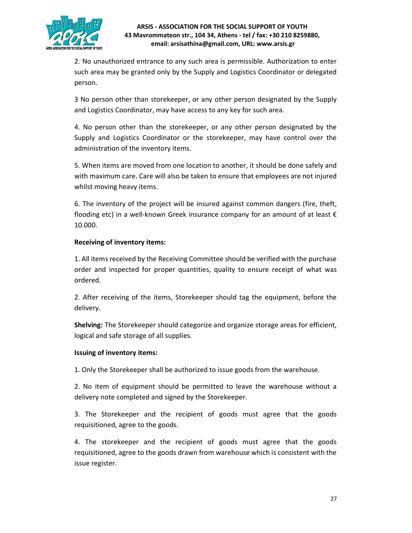

2. No unauthorized entrance to any such area is permissible. Authorization to enter such area may be granted only by the Supply and Logistics Coordinator or delegated person.

3 No person other than storekeeper, or any other person designated by the Supply and Logistics Coordinator, may have access to any key for such area.

4. No person other than the storekeeper, or any other person designated by the Supply and Logistics Coordinator or the storekeeper, may have control over the administration of the inventory items.

5. When items are moved from one location to another, it should be done safely and with maximum care. Care will also be taken to ensure that employees are not injured whilst moving heavy items.

6. The inventory of the project will be insured against common dangers (fire, theft, flooding etc) in a well-known Greek insurance company for an amount of at least € 10.000.

## Receiving of inventory items:

1. All items received by the Receiving Committee should be verified with the purchase order and inspected for proper quantities, quality to ensure receipt of what was ordered.

2. After receiving of the items, Storekeeper should tag the equipment, before the delivery.

Shelving: The Storekeeper should categorize and organize storage areas for efficient, logical and safe storage of all supplies.

## Issuing of inventory items:

1. Only the Storekeeper shall be authorized to issue goods from the warehouse.

2. No item of equipment should be permitted to leave the warehouse without a delivery note completed and signed by the Storekeeper.

3. The Storekeeper and the recipient of goods must agree that the goods requisitioned, agree to the goods.

4. The storekeeper and the recipient of goods must agree that the goods requisitioned, agree to the goods drawn from warehouse which is consistent with the issue register.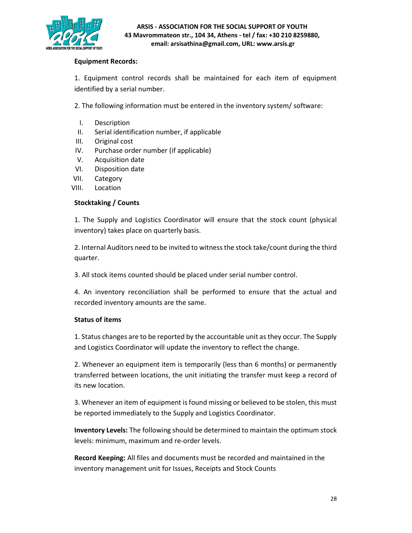

## Equipment Records:

1. Equipment control records shall be maintained for each item of equipment identified by a serial number.

2. The following information must be entered in the inventory system/ software:

- I. Description
- II. Serial identification number, if applicable
- III. Original cost
- IV. Purchase order number (if applicable)
- V. Acquisition date
- VI. Disposition date
- VII. Category
- VIII. Location

## Stocktaking / Counts

1. The Supply and Logistics Coordinator will ensure that the stock count (physical inventory) takes place on quarterly basis.

2. Internal Auditors need to be invited to witness the stock take/count during the third quarter.

3. All stock items counted should be placed under serial number control.

4. An inventory reconciliation shall be performed to ensure that the actual and recorded inventory amounts are the same.

# Status of items

1. Status changes are to be reported by the accountable unit as they occur. The Supply and Logistics Coordinator will update the inventory to reflect the change.

2. Whenever an equipment item is temporarily (less than 6 months) or permanently transferred between locations, the unit initiating the transfer must keep a record of its new location.

3. Whenever an item of equipment is found missing or believed to be stolen, this must be reported immediately to the Supply and Logistics Coordinator.

Inventory Levels: The following should be determined to maintain the optimum stock levels: minimum, maximum and re-order levels.

Record Keeping: All files and documents must be recorded and maintained in the inventory management unit for Issues, Receipts and Stock Counts